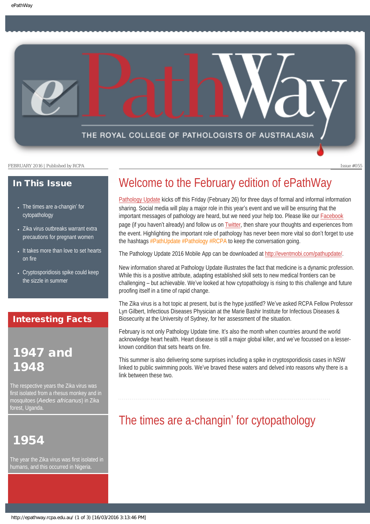THE ROYAL COLLEGE OF PATHOLOGISTS OF AUSTRALASIA

FEBRUARY 2016 | Published by RCPA **Issue #055** 

### In This Issue

- [The times are a-changin](#page-0-0)' for [cytopathology](#page-0-0)
- [Zika virus outbreaks warrant extra](#page-1-0) [precautions for pregnant women](#page-1-0)
- It takes more than love to set hearts [on fire](#page-1-1)
- Cryptosporidiosis spike could keep [the sizzle in summer](#page-2-0)

### Interesting Facts

## 1947 and 1948

The respective years the Zika virus was first isolated from a rhesus monkey and in mosquitoes (*Aedes africanus*) in Zika forest, Uganda.

## <span id="page-0-0"></span>1954

The year the Zika virus was first isolated in humans, and this occurred in Nigeria.

## Welcome to the February edition of ePathWay

[Pathology Update](https://www.rcpa.edu.au/Events/Pathology-Update/Reg-Prog) kicks off this Friday (February 26) for three days of formal and informal information sharing. Social media will play a major role in this year's event and we will be ensuring that the important messages of pathology are heard, but we need your help too. Please like our [Facebook](https://www.facebook.com/TheRoyalCollegeOfPathologistsOfAustralasia/) page (if you haven't already) and follow us on [Twitter](https://twitter.com/PathologyRCPA), then share your thoughts and experiences from the event. Highlighting the important role of pathology has never been more vital so don't forget to use the hashtags #PathUpdate #Pathology #RCPA to keep the conversation going.

The Pathology Update 2016 Mobile App can be downloaded at<http://eventmobi.com/pathupdate/>.

New information shared at Pathology Update illustrates the fact that medicine is a dynamic profession. While this is a positive attribute, adapting established skill sets to new medical frontiers can be challenging – but achievable. We've looked at how cytopathology is rising to this challenge and future proofing itself in a time of rapid change.

The Zika virus is a hot topic at present, but is the hype justified? We've asked RCPA Fellow Professor Lyn Gilbert, Infectious Diseases Physician at the Marie Bashir Institute for Infectious Diseases & Biosecurity at the University of Sydney, for her assessment of the situation.

February is not only Pathology Update time. It's also the month when countries around the world acknowledge heart health. Heart disease is still a major global killer, and we've focussed on a lesserknown condition that sets hearts on fire.

This summer is also delivering some surprises including a spike in cryptosporidiosis cases in NSW linked to public swimming pools. We've braved these waters and delved into reasons why there is a link between these two.

## The times are a-changin' for cytopathology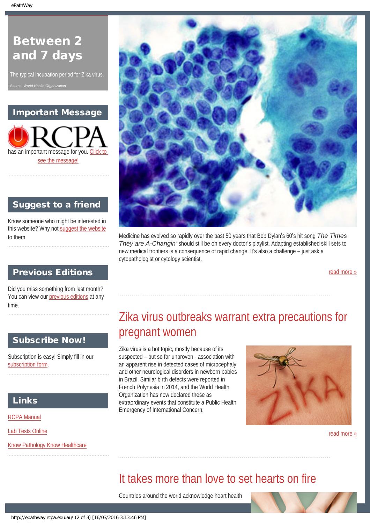## Between 2 and 7 days

The typical incubation period for Zika virus. *Source: World Health Organization*

### Important Message



### Suggest to a friend

Know someone who might be interested in this website? Why not [suggest the website](mailto:?Subject=I%20think%20you%20should%20read%20this%20Newsletter=
http://epathway.rcpa.edu.au/index.html) to them.

### Previous Editions

<span id="page-1-0"></span>Did you miss something from last month? You can view our [previous editions](#page-3-0) at any time.

### Subscribe Now!

Subscription is easy! Simply fill in our [subscription form](http://epathway.rcpa.edu.au/subscription.html).

### Links

[RCPA Manual](http://rcpamanual.edu.au/)

[Lab Tests Online](http://www.labtestsonline.org.au/)

<span id="page-1-1"></span>[Know Pathology Know Healthcare](http://knowpathology.com.au/)



Medicine has evolved so rapidly over the past 50 years that Bob Dylan's 60's hit song *The Times They are A-Changin'* should still be on every doctor's playlist. Adapting established skill sets to new medical frontiers is a consequence of rapid change. It's also a challenge – just ask a cytopathologist or cytology scientist.

[read more »](#page-5-0)

# Zika virus outbreaks warrant extra precautions for pregnant women

Zika virus is a hot topic, mostly because of its suspected – but so far unproven - association with an apparent rise in detected cases of microcephaly and other neurological disorders in newborn babies in Brazil. Similar birth defects were reported in French Polynesia in 2014, and the World Health Organization has now declared these as extraordinary events that constitute a Public Health Emergency of International Concern.

![](_page_1_Picture_20.jpeg)

[read more »](#page-7-0)

## It takes more than love to set hearts on fire

Countries around the world acknowledge heart health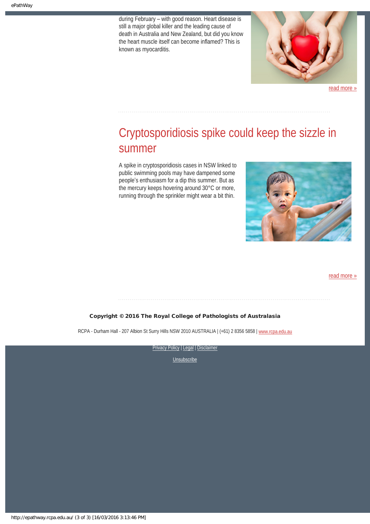during February – with good reason. Heart disease is still a major global killer and the leading cause of death in Australia and New Zealand, but did you know the heart muscle itself can become inflamed? This is known as myocarditis.

![](_page_2_Picture_2.jpeg)

[read more »](#page-9-0)

# <span id="page-2-0"></span>Cryptosporidiosis spike could keep the sizzle in summer

A spike in cryptosporidiosis cases in NSW linked to public swimming pools may have dampened some people's enthusiasm for a dip this summer. But as the mercury keeps hovering around 30°C or more, running through the sprinkler might wear a bit thin.

![](_page_2_Picture_6.jpeg)

#### [read more »](#page-11-0)

#### Copyright © 2016 The Royal College of Pathologists of Australasia

RCPA - Durham Hall - 207 Albion St Surry Hills NSW 2010 AUSTRALIA | (+61) 2 8356 5858 | [www.rcpa.edu.au](https://www.rcpa.edu.au/)

![](_page_2_Picture_10.jpeg)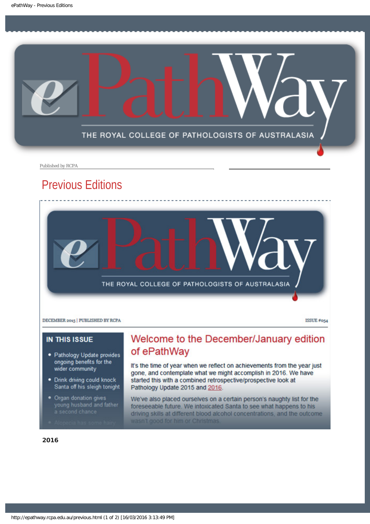<span id="page-3-0"></span>![](_page_3_Picture_1.jpeg)

Published by RCPA

## Previous Editions

![](_page_3_Picture_4.jpeg)

DECEMBER 2015 | PUBLISHED BY RCPA

ISSUE #054

#### **IN THIS ISSUE**

- · Pathology Update provides ongoing benefits for the wider community
- . Drink driving could knock Santa off his sleigh tonight
- Organ donation gives young husband and father<br>a second chance

### Welcome to the December/January edition of ePathWay

It's the time of year when we reflect on achievements from the year just gone, and contemplate what we might accomplish in 2016. We have started this with a combined retrospective/prospective look at Pathology Update 2015 and 2016.

We've also placed ourselves on a certain person's naughty list for the foreseeable future. We intoxicated Santa to see what happens to his driving skills at different blood alcohol concentrations, and the outcome wasn't good for him or Christmas.

#### 2016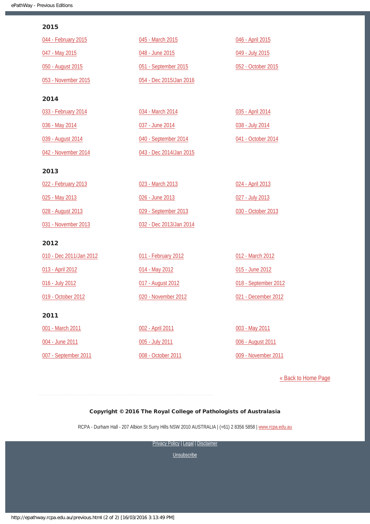#### 2015

| 044 - February 2015     | 045 - March 2015        | 046 - April 2015     |
|-------------------------|-------------------------|----------------------|
| 047 - May 2015          | 048 - June 2015         | 049 - July 2015      |
| 050 - August 2015       | 051 - September 2015    | 052 - October 2015   |
| 053 - November 2015     | 054 - Dec 2015/Jan 2016 |                      |
| 2014                    |                         |                      |
| 033 - February 2014     | 034 - March 2014        | 035 - April 2014     |
| 036 - May 2014          | 037 - June 2014         | 038 - July 2014      |
| 039 - August 2014       | 040 - September 2014    | 041 - October 2014   |
| 042 - November 2014     | 043 - Dec 2014/Jan 2015 |                      |
| 2013                    |                         |                      |
| 022 - February 2013     | 023 - March 2013        | 024 - April 2013     |
| 025 - May 2013          | 026 - June 2013         | 027 - July 2013      |
| 028 - August 2013       | 029 - September 2013    | 030 - October 2013   |
| 031 - November 2013     | 032 - Dec 2013/Jan 2014 |                      |
| 2012                    |                         |                      |
| 010 - Dec 2011/Jan 2012 | 011 - February 2012     | 012 - March 2012     |
| 013 - April 2012        | 014 - May 2012          | 015 - June 2012      |
| 016 - July 2012         | 017 - August 2012       | 018 - September 2012 |
| 019 - October 2012      | 020 - November 2012     | 021 - December 2012  |
| 2011                    |                         |                      |
| 001 - March 2011        | 002 - April 2011        | 003 - May 2011       |
| 004 - June 2011         | 005 - July 2011         | 006 - August 2011    |
| 007 - September 2011    | 008 - October 2011      | 009 - November 2011  |

[« Back to Home Page](http://epathway.rcpa.edu.au/index.html)

#### Copyright © 2016 The Royal College of Pathologists of Australasia

RCPA - Durham Hall - 207 Albion St Surry Hills NSW 2010 AUSTRALIA | (+61) 2 8356 5858 | [www.rcpa.edu.au](https://www.rcpa.edu.au/)

[Privacy Policy](https://www.rcpa.edu.au/Content-Library/Privacy.aspx) | [Legal](https://www.rcpa.edu.au/Legal.aspx) | Disclaimer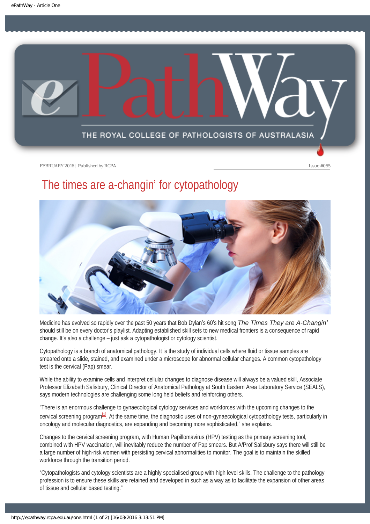<span id="page-5-0"></span>![](_page_5_Picture_1.jpeg)

# The times are a-changin' for cytopathology

![](_page_5_Picture_5.jpeg)

Medicine has evolved so rapidly over the past 50 years that Bob Dylan's 60's hit song *The Times They are A-Changin'* should still be on every doctor's playlist. Adapting established skill sets to new medical frontiers is a consequence of rapid change. It's also a challenge – just ask a cytopathologist or cytology scientist.

Cytopathology is a branch of anatomical pathology. It is the study of individual cells where fluid or tissue samples are smeared onto a slide, stained, and examined under a microscope for abnormal cellular changes. A common cytopathology test is the cervical (Pap) smear.

While the ability to examine cells and interpret cellular changes to diagnose disease will always be a valued skill, Associate Professor Elizabeth Salisbury, Clinical Director of Anatomical Pathology at South Eastern Area Laboratory Service (SEALS), says modern technologies are challenging some long held beliefs and reinforcing others.

<span id="page-5-1"></span>"There is an enormous challenge to gynaecological cytology services and workforces with the upcoming changes to the cervical screening program<sup>[1]</sup>. At the same time, the diagnostic uses of non-gynaecological cytopathology tests, particularly in oncology and molecular diagnostics, are expanding and becoming more sophisticated," she explains.

Changes to the cervical screening program, with Human Papillomavirus (HPV) testing as the primary screening tool, combined with HPV vaccination, will inevitably reduce the number of Pap smears. But A/Prof Salisbury says there will still be a large number of high-risk women with persisting cervical abnormalities to monitor. The goal is to maintain the skilled workforce through the transition period.

"Cytopathologists and cytology scientists are a highly specialised group with high level skills. The challenge to the pathology profession is to ensure these skills are retained and developed in such as a way as to facilitate the expansion of other areas of tissue and cellular based testing."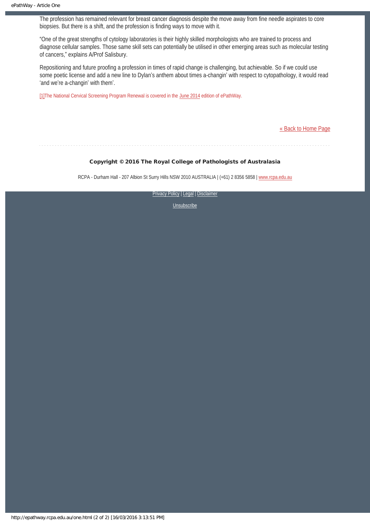The profession has remained relevant for breast cancer diagnosis despite the move away from fine needle aspirates to core biopsies. But there is a shift, and the profession is finding ways to move with it.

"One of the great strengths of cytology laboratories is their highly skilled morphologists who are trained to process and diagnose cellular samples. Those same skill sets can potentially be utilised in other emerging areas such as molecular testing of cancers," explains A/Prof Salisbury.

Repositioning and future proofing a profession in times of rapid change is challenging, but achievable. So if we could use some poetic license and add a new line to Dylan's anthem about times a-changin' with respect to cytopathology, it would read 'and we're a-changin' with them'.

<span id="page-6-0"></span>[\[1\]T](#page-5-1)he National Cervical Screening Program Renewal is covered in the [June 2014](http://epathway.rcpa.edu.au/previous/037_0614.pdf) edition of ePathWay.

[« Back to Home Page](http://epathway.rcpa.edu.au/index.html)

#### Copyright © 2016 The Royal College of Pathologists of Australasia

RCPA - Durham Hall - 207 Albion St Surry Hills NSW 2010 AUSTRALIA | (+61) 2 8356 5858 | [www.rcpa.edu.au](https://www.rcpa.edu.au/)

[Privacy Policy](https://www.rcpa.edu.au/Content-Library/Privacy.aspx) | [Legal](https://www.rcpa.edu.au/Legal.aspx) | Disclaimer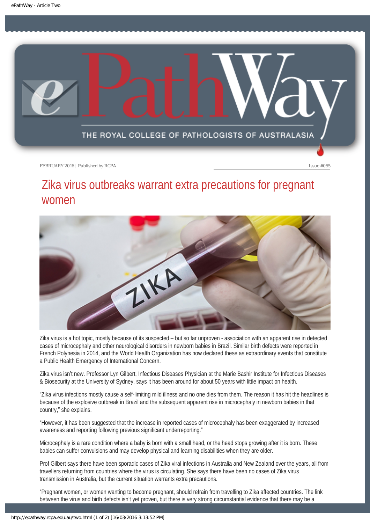<span id="page-7-0"></span>![](_page_7_Picture_1.jpeg)

# Zika virus outbreaks warrant extra precautions for pregnant women

![](_page_7_Picture_5.jpeg)

Zika virus is a hot topic, mostly because of its suspected – but so far unproven - association with an apparent rise in detected cases of microcephaly and other neurological disorders in newborn babies in Brazil. Similar birth defects were reported in French Polynesia in 2014, and the World Health Organization has now declared these as extraordinary events that constitute a Public Health Emergency of International Concern.

Zika virus isn't new. Professor Lyn Gilbert, Infectious Diseases Physician at the Marie Bashir Institute for Infectious Diseases & Biosecurity at the University of Sydney, says it has been around for about 50 years with little impact on health.

"Zika virus infections mostly cause a self-limiting mild illness and no one dies from them. The reason it has hit the headlines is because of the explosive outbreak in Brazil and the subsequent apparent rise in microcephaly in newborn babies in that country," she explains.

"However, it has been suggested that the increase in reported cases of microcephaly has been exaggerated by increased awareness and reporting following previous significant underreporting."

Microcephaly is a rare condition where a baby is born with a small head, or the head stops growing after it is born. These babies can suffer convulsions and may develop physical and learning disabilities when they are older.

Prof Gilbert says there have been sporadic cases of Zika viral infections in Australia and New Zealand over the years, all from travellers returning from countries where the virus is circulating. She says there have been no cases of Zika virus transmission in Australia, but the current situation warrants extra precautions.

"Pregnant women, or women wanting to become pregnant, should refrain from travelling to Zika affected countries. The link between the virus and birth defects isn't yet proven, but there is very strong circumstantial evidence that there may be a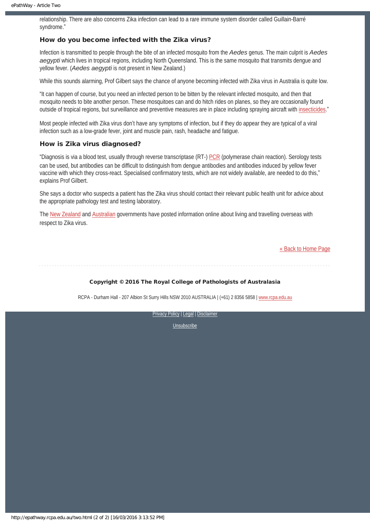relationship. There are also concerns Zika infection can lead to a rare immune system disorder called Guillain-Barré syndrome."

#### How do you become infected with the Zika virus?

Infection is transmitted to people through the bite of an infected mosquito from the *Aedes* genus. The main culprit is *Aedes aegypti* which lives in tropical regions, including North Queensland. This is the same mosquito that transmits dengue and yellow fever. (*Aedes aegypti* is not present in New Zealand.)

While this sounds alarming, Prof Gilbert says the chance of anyone becoming infected with Zika virus in Australia is quite low.

"It can happen of course, but you need an infected person to be bitten by the relevant infected mosquito, and then that mosquito needs to bite another person. These mosquitoes can and do hitch rides on planes, so they are occasionally found outside of tropical regions, but surveillance and preventive measures are in place including spraying aircraft with [insecticides.](http://www.who.int/ith/mode_of_travel/aircraft_disinsection/en/)"

Most people infected with Zika virus don't have any symptoms of infection, but if they do appear they are typical of a viral infection such as a low-grade fever, joint and muscle pain, rash, headache and fatigue.

#### How is Zika virus diagnosed?

"Diagnosis is via a blood test, usually through reverse transcriptase (RT-) [PCR](http://www.labtestsonline.org.au/inside-the-lab/laboratory-methods/pcr-(1)) (polymerase chain reaction). Serology tests can be used, but antibodies can be difficult to distinguish from dengue antibodies and antibodies induced by yellow fever vaccine with which they cross-react. Specialised confirmatory tests, which are not widely available, are needed to do this," explains Prof Gilbert.

She says a doctor who suspects a patient has the Zika virus should contact their relevant public health unit for advice about the appropriate pathology test and testing laboratory.

The [New Zealand](https://www.safetravel.govt.nz/news/zika-virus) and [Australian](https://smartraveller.gov.au/bulletins/zika_virus) governments have posted information online about living and travelling overseas with respect to Zika virus.

[« Back to Home Page](http://epathway.rcpa.edu.au/index.html)

#### Copyright © 2016 The Royal College of Pathologists of Australasia

RCPA - Durham Hall - 207 Albion St Surry Hills NSW 2010 AUSTRALIA | (+61) 2 8356 5858 | [www.rcpa.edu.au](https://www.rcpa.edu.au/)

[Privacy Policy](https://www.rcpa.edu.au/Content-Library/Privacy.aspx) | [Legal](https://www.rcpa.edu.au/Legal.aspx) | Disclaimer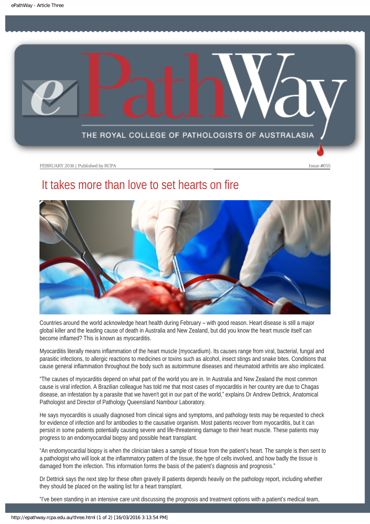<span id="page-9-0"></span>![](_page_9_Picture_1.jpeg)

# It takes more than love to set hearts on fire

![](_page_9_Picture_5.jpeg)

Countries around the world acknowledge heart health during February – with good reason. Heart disease is still a major global killer and the leading cause of death in Australia and New Zealand, but did you know the heart muscle itself can become inflamed? This is known as myocarditis.

Myocarditis literally means inflammation of the heart muscle (myocardium). Its causes range from viral, bacterial, fungal and parasitic infections, to allergic reactions to medicines or toxins such as alcohol, insect stings and snake bites. Conditions that cause general inflammation throughout the body such as autoimmune diseases and rheumatoid arthritis are also implicated.

"The causes of myocarditis depend on what part of the world you are in. In Australia and New Zealand the most common cause is viral infection. A Brazilian colleague has told me that most cases of myocarditis in her country are due to Chagas disease, an infestation by a parasite that we haven't got in our part of the world," explains Dr Andrew Dettrick, Anatomical Pathologist and Director of Pathology Queensland Nambour Laboratory.

He says myocarditis is usually diagnosed from clinical signs and symptoms, and pathology tests may be requested to check for evidence of infection and for antibodies to the causative organism. Most patients recover from myocarditis, but it can persist in some patients potentially causing severe and life-threatening damage to their heart muscle. These patients may progress to an endomyocardial biopsy and possible heart transplant.

"An endomyocardial biopsy is when the clinician takes a sample of tissue from the patient's heart. The sample is then sent to a pathologist who will look at the inflammatory pattern of the tissue, the type of cells involved, and how badly the tissue is damaged from the infection. This information forms the basis of the patient's diagnosis and prognosis."

Dr Dettrick says the next step for these often gravely ill patients depends heavily on the pathology report, including whether they should be placed on the waiting list for a heart transplant.

"I've been standing in an intensive care unit discussing the prognosis and treatment options with a patient's medical team,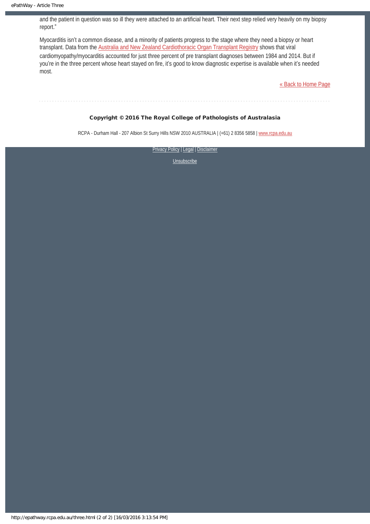and the patient in question was so ill they were attached to an artificial heart. Their next step relied very heavily on my biopsy report."

Myocarditis isn't a common disease, and a minority of patients progress to the stage where they need a biopsy or heart transplant. Data from the [Australia and New Zealand Cardiothoracic Organ Transplant Registry](http://www.anzcotr.org.au/uploadedFiles/1436507524952-5643.pdf) shows that viral cardiomyopathy/myocarditis accounted for just three percent of pre transplant diagnoses between 1984 and 2014. But if you're in the three percent whose heart stayed on fire, it's good to know diagnostic expertise is available when it's needed most.

[« Back to Home Page](http://epathway.rcpa.edu.au/index.html)

#### Copyright © 2016 The Royal College of Pathologists of Australasia

RCPA - Durham Hall - 207 Albion St Surry Hills NSW 2010 AUSTRALIA | (+61) 2 8356 5858 | [www.rcpa.edu.au](https://www.rcpa.edu.au/)

**[Privacy Policy](https://www.rcpa.edu.au/Content-Library/Privacy.aspx) | [Legal](https://www.rcpa.edu.au/Legal.aspx) | Disclaimer**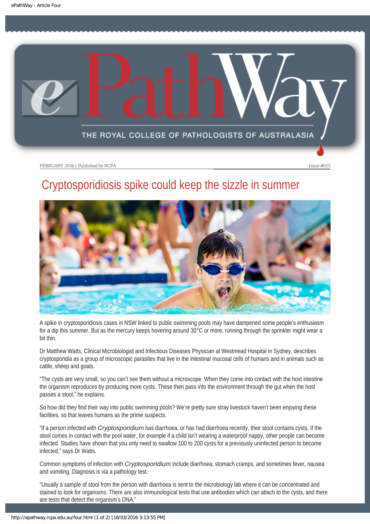<span id="page-11-0"></span>![](_page_11_Picture_1.jpeg)

# Cryptosporidiosis spike could keep the sizzle in summer

![](_page_11_Picture_5.jpeg)

A spike in cryptosporidiosis cases in NSW linked to public swimming pools may have dampened some people's enthusiasm for a dip this summer. But as the mercury keeps hovering around 30°C or more, running through the sprinkler might wear a bit thin.

Dr Matthew Watts, Clinical Microbiologist and Infectious Diseases Physician at Westmead Hospital in Sydney, describes cryptosporidia as a group of microscopic parasites that live in the intestinal mucosal cells of humans and in animals such as cattle, sheep and goats.

"The cysts are very small, so you can't see them without a microscope. When they come into contact with the host intestine the organism reproduces by producing more cysts. These then pass into the environment through the gut when the host passes a stool," he explains.

So how did they find their way into public swimming pools? We're pretty sure stray livestock haven't been enjoying these facilities, so that leaves humans as the prime suspects.

"If a person infected with *Cryptosporidium* has diarrhoea, or has had diarrhoea recently, their stool contains cysts. If the stool comes in contact with the pool water, for example if a child isn't wearing a waterproof nappy, other people can become infected. Studies have shown that you only need to swallow 100 to 200 cysts for a previously uninfected person to become infected," says Dr Watts.

Common symptoms of infection with *Cryptosporidium* include diarrhoea, stomach cramps, and sometimes fever, nausea and vomiting. Diagnosis is via a pathology test.

"Usually a sample of stool from the person with diarrhoea is sent to the microbiology lab where it can be concentrated and stained to look for organisms. There are also immunological tests that use antibodies which can attach to the cysts, and there are tests that detect the organism's DNA."